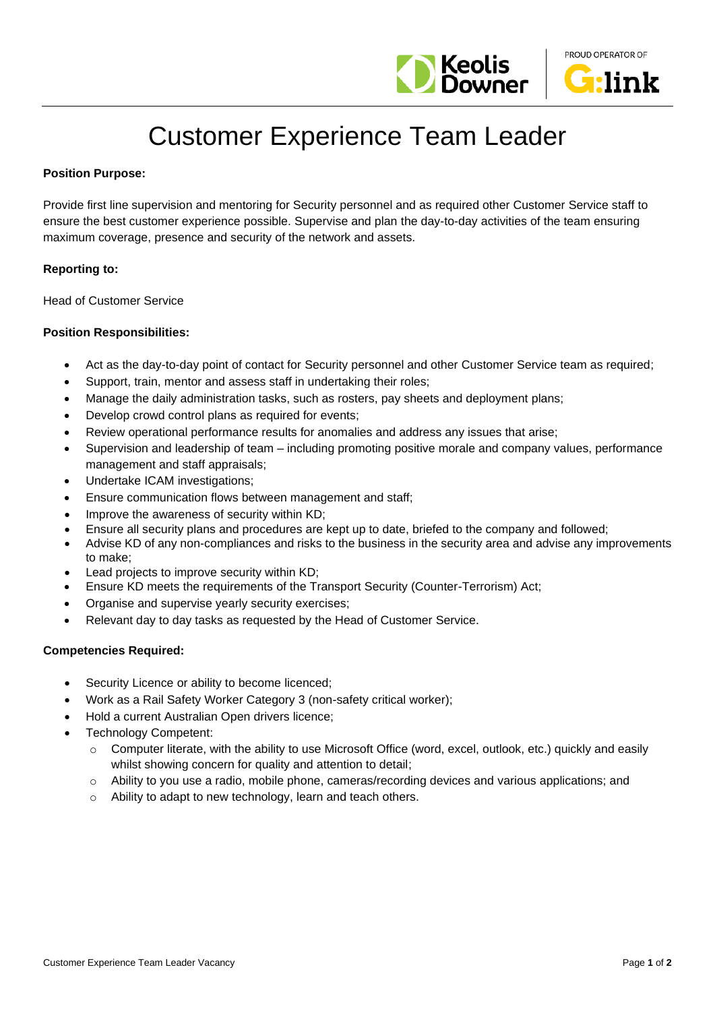



# Customer Experience Team Leader

# **Position Purpose:**

Provide first line supervision and mentoring for Security personnel and as required other Customer Service staff to ensure the best customer experience possible. Supervise and plan the day-to-day activities of the team ensuring maximum coverage, presence and security of the network and assets.

### **Reporting to:**

Head of Customer Service

# **Position Responsibilities:**

- Act as the day-to-day point of contact for Security personnel and other Customer Service team as required;
- Support, train, mentor and assess staff in undertaking their roles;
- Manage the daily administration tasks, such as rosters, pay sheets and deployment plans;
- Develop crowd control plans as required for events;
- Review operational performance results for anomalies and address any issues that arise;
- Supervision and leadership of team including promoting positive morale and company values, performance management and staff appraisals;
- Undertake ICAM investigations;
- Ensure communication flows between management and staff;
- Improve the awareness of security within KD;
- Ensure all security plans and procedures are kept up to date, briefed to the company and followed;
- Advise KD of any non-compliances and risks to the business in the security area and advise any improvements to make;
- Lead projects to improve security within KD;
- Ensure KD meets the requirements of the Transport Security (Counter-Terrorism) Act;
- Organise and supervise yearly security exercises;
- Relevant day to day tasks as requested by the Head of Customer Service.

#### **Competencies Required:**

- Security Licence or ability to become licenced;
- Work as a Rail Safety Worker Category 3 (non-safety critical worker);
- Hold a current Australian Open drivers licence;
- Technology Competent:
	- o Computer literate, with the ability to use Microsoft Office (word, excel, outlook, etc.) quickly and easily whilst showing concern for quality and attention to detail;
	- o Ability to you use a radio, mobile phone, cameras/recording devices and various applications; and
	- o Ability to adapt to new technology, learn and teach others.